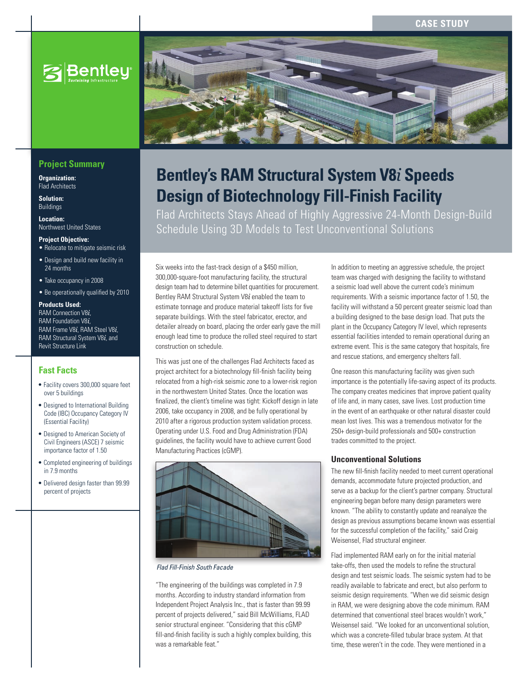# **CASE STUDY**



## **Project Summary**

**Organization:**  Flad Architects

**Solution:**  Buildings

**Location:**  Northwest United States

### **Project Objective:**

- Relocate to mitigate seismic risk
- Design and build new facility in 24 months
- Take occupancy in 2008
- Be operationally qualified by 2010

#### **Products Used:**

RAM Connection V8*i*, RAM Foundation V8*i*, RAM Frame V8*i*, RAM Steel V8*i*, RAM Structural System V8*i*, and Revit Structure Link

## **Fast Facts**

- Facility covers 300,000 square feet over 5 buildings
- Designed to International Building Code (IBC) Occupancy Category IV (Essential Facility)
- Designed to American Society of Civil Engineers (ASCE) 7 seismic importance factor of 1.50
- Completed engineering of buildings in 7.9 months
- Delivered design faster than 99.99 percent of projects



# **Bentley's RAM Structural System V8***i* **Speeds Design of Biotechnology Fill-Finish Facility**

Flad Architects Stays Ahead of Highly Aggressive 24-Month Design-Build Schedule Using 3D Models to Test Unconventional Solutions

Six weeks into the fast-track design of a \$450 million, 300,000-square-foot manufacturing facility, the structural design team had to determine billet quantities for procurement. Bentley RAM Structural System V8*i* enabled the team to estimate tonnage and produce material takeoff lists for five separate buildings. With the steel fabricator, erector, and detailer already on board, placing the order early gave the mill enough lead time to produce the rolled steel required to start construction on schedule.

This was just one of the challenges Flad Architects faced as project architect for a biotechnology fill-finish facility being relocated from a high-risk seismic zone to a lower-risk region in the northwestern United States. Once the location was finalized, the client's timeline was tight: Kickoff design in late 2006, take occupancy in 2008, and be fully operational by 2010 after a rigorous production system validation process. Operating under U.S. Food and Drug Administration (FDA) guidelines, the facility would have to achieve current Good Manufacturing Practices (cGMP).



### *Flad Fill-Finish South Facade*

"The engineering of the buildings was completed in 7.9 months. According to industry standard information from Independent Project Analysis Inc., that is faster than 99.99 percent of projects delivered," said Bill McWilliams, FLAD senior structural engineer. "Considering that this cGMP fill-and-finish facility is such a highly complex building, this was a remarkable feat."

In addition to meeting an aggressive schedule, the project team was charged with designing the facility to withstand a seismic load well above the current code's minimum requirements. With a seismic importance factor of 1.50, the facility will withstand a 50 percent greater seismic load than a building designed to the base design load. That puts the plant in the Occupancy Category IV level, which represents essential facilities intended to remain operational during an extreme event. This is the same category that hospitals, fire and rescue stations, and emergency shelters fall.

One reason this manufacturing facility was given such importance is the potentially life-saving aspect of its products. The company creates medicines that improve patient quality of life and, in many cases, save lives. Lost production time in the event of an earthquake or other natural disaster could mean lost lives. This was a tremendous motivator for the 250+ design-build professionals and 500+ construction trades committed to the project.

## **Unconventional Solutions**

The new fill-finish facility needed to meet current operational demands, accommodate future projected production, and serve as a backup for the client's partner company. Structural engineering began before many design parameters were known. "The ability to constantly update and reanalyze the design as previous assumptions became known was essential for the successful completion of the facility," said Craig Weisensel, Flad structural engineer.

Flad implemented RAM early on for the initial material take-offs, then used the models to refine the structural design and test seismic loads. The seismic system had to be readily available to fabricate and erect, but also perform to seismic design requirements. "When we did seismic design in RAM, we were designing above the code minimum. RAM determined that conventional steel braces wouldn't work," Weisensel said. "We looked for an unconventional solution, which was a concrete-filled tubular brace system. At that time, these weren't in the code. They were mentioned in a